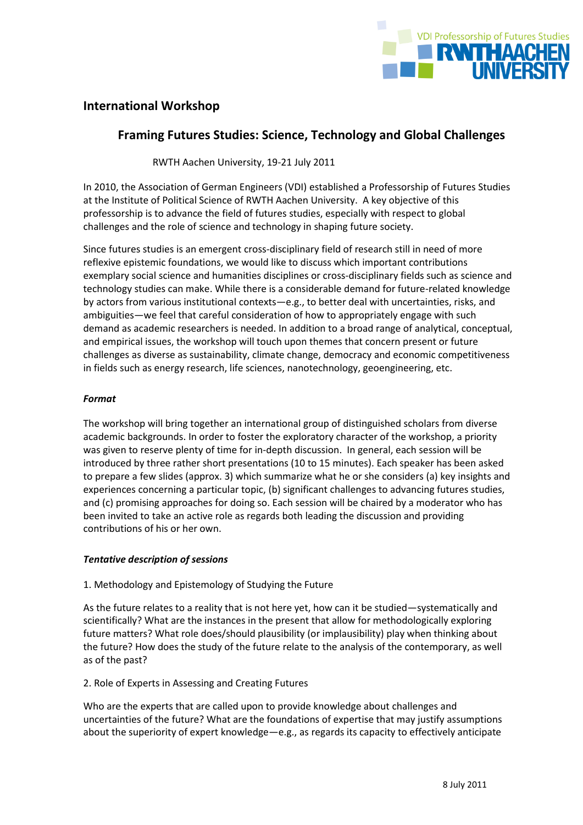

# **International Workshop**

# **Framing Futures Studies: Science, Technology and Global Challenges**

RWTH Aachen University, 19-21 July 2011

In 2010, the Association of German Engineers (VDI) established a Professorship of Futures Studies at the Institute of Political Science of RWTH Aachen University. A key objective of this professorship is to advance the field of futures studies, especially with respect to global challenges and the role of science and technology in shaping future society.

Since futures studies is an emergent cross-disciplinary field of research still in need of more reflexive epistemic foundations, we would like to discuss which important contributions exemplary social science and humanities disciplines or cross-disciplinary fields such as science and technology studies can make. While there is a considerable demand for future-related knowledge by actors from various institutional contexts—e.g., to better deal with uncertainties, risks, and ambiguities—we feel that careful consideration of how to appropriately engage with such demand as academic researchers is needed. In addition to a broad range of analytical, conceptual, and empirical issues, the workshop will touch upon themes that concern present or future challenges as diverse as sustainability, climate change, democracy and economic competitiveness in fields such as energy research, life sciences, nanotechnology, geoengineering, etc.

## *Format*

The workshop will bring together an international group of distinguished scholars from diverse academic backgrounds. In order to foster the exploratory character of the workshop, a priority was given to reserve plenty of time for in-depth discussion. In general, each session will be introduced by three rather short presentations (10 to 15 minutes). Each speaker has been asked to prepare a few slides (approx. 3) which summarize what he or she considers (a) key insights and experiences concerning a particular topic, (b) significant challenges to advancing futures studies, and (c) promising approaches for doing so. Each session will be chaired by a moderator who has been invited to take an active role as regards both leading the discussion and providing contributions of his or her own.

## *Tentative description of sessions*

## 1. Methodology and Epistemology of Studying the Future

As the future relates to a reality that is not here yet, how can it be studied—systematically and scientifically? What are the instances in the present that allow for methodologically exploring future matters? What role does/should plausibility (or implausibility) play when thinking about the future? How does the study of the future relate to the analysis of the contemporary, as well as of the past?

## 2. Role of Experts in Assessing and Creating Futures

Who are the experts that are called upon to provide knowledge about challenges and uncertainties of the future? What are the foundations of expertise that may justify assumptions about the superiority of expert knowledge—e.g., as regards its capacity to effectively anticipate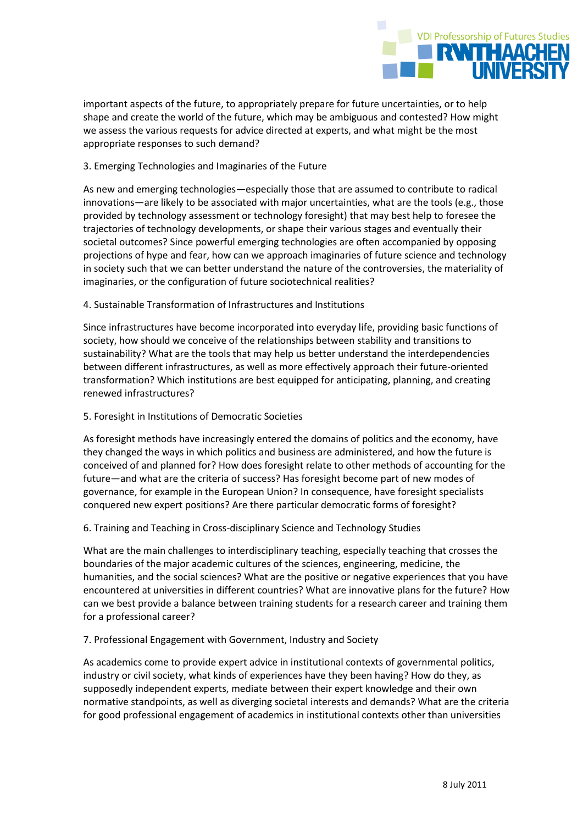

important aspects of the future, to appropriately prepare for future uncertainties, or to help shape and create the world of the future, which may be ambiguous and contested? How might we assess the various requests for advice directed at experts, and what might be the most appropriate responses to such demand?

## 3. Emerging Technologies and Imaginaries of the Future

As new and emerging technologies—especially those that are assumed to contribute to radical innovations—are likely to be associated with major uncertainties, what are the tools (e.g., those provided by technology assessment or technology foresight) that may best help to foresee the trajectories of technology developments, or shape their various stages and eventually their societal outcomes? Since powerful emerging technologies are often accompanied by opposing projections of hype and fear, how can we approach imaginaries of future science and technology in society such that we can better understand the nature of the controversies, the materiality of imaginaries, or the configuration of future sociotechnical realities?

## 4. Sustainable Transformation of Infrastructures and Institutions

Since infrastructures have become incorporated into everyday life, providing basic functions of society, how should we conceive of the relationships between stability and transitions to sustainability? What are the tools that may help us better understand the interdependencies between different infrastructures, as well as more effectively approach their future-oriented transformation? Which institutions are best equipped for anticipating, planning, and creating renewed infrastructures?

## 5. Foresight in Institutions of Democratic Societies

As foresight methods have increasingly entered the domains of politics and the economy, have they changed the ways in which politics and business are administered, and how the future is conceived of and planned for? How does foresight relate to other methods of accounting for the future—and what are the criteria of success? Has foresight become part of new modes of governance, for example in the European Union? In consequence, have foresight specialists conquered new expert positions? Are there particular democratic forms of foresight?

## 6. Training and Teaching in Cross-disciplinary Science and Technology Studies

What are the main challenges to interdisciplinary teaching, especially teaching that crosses the boundaries of the major academic cultures of the sciences, engineering, medicine, the humanities, and the social sciences? What are the positive or negative experiences that you have encountered at universities in different countries? What are innovative plans for the future? How can we best provide a balance between training students for a research career and training them for a professional career?

## 7. Professional Engagement with Government, Industry and Society

As academics come to provide expert advice in institutional contexts of governmental politics, industry or civil society, what kinds of experiences have they been having? How do they, as supposedly independent experts, mediate between their expert knowledge and their own normative standpoints, as well as diverging societal interests and demands? What are the criteria for good professional engagement of academics in institutional contexts other than universities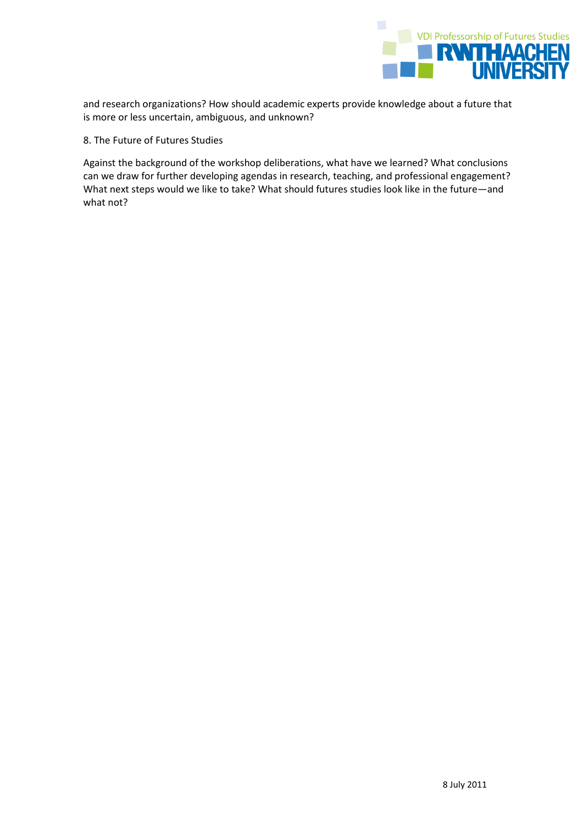

and research organizations? How should academic experts provide knowledge about a future that is more or less uncertain, ambiguous, and unknown?

## 8. The Future of Futures Studies

Against the background of the workshop deliberations, what have we learned? What conclusions can we draw for further developing agendas in research, teaching, and professional engagement? What next steps would we like to take? What should futures studies look like in the future—and what not?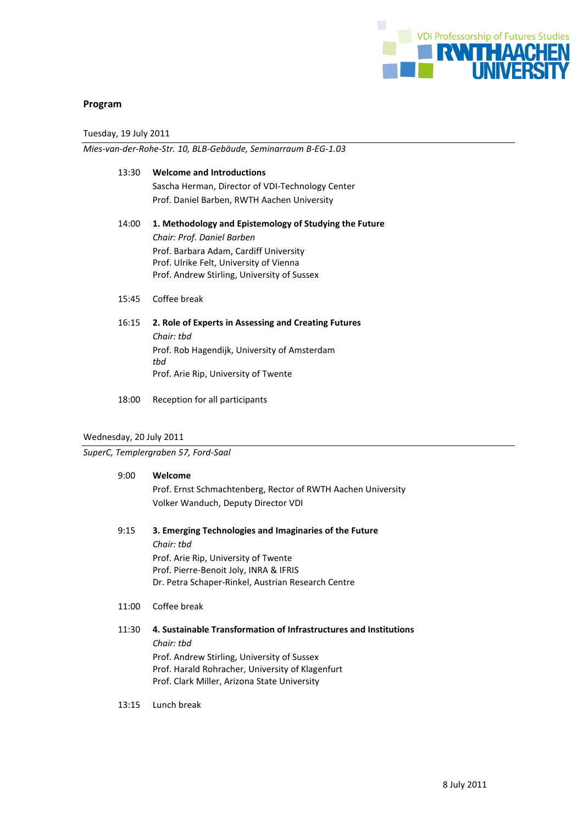

### **Program**

Tuesday, 19 July 2011

*Mies-van-der-Rohe-Str. 10, BLB-Gebäude, Seminarraum B-EG-1.03*

## 13:30 **Welcome and Introductions**

Sascha Herman, Director of VDI-Technology Center Prof. Daniel Barben, RWTH Aachen University

## 14:00 **1. Methodology and Epistemology of Studying the Future** *Chair: Prof. Daniel Barben* Prof. Barbara Adam, Cardiff University Prof. Ulrike Felt, University of Vienna Prof. Andrew Stirling, University of Sussex

- 15:45 Coffee break
- 16:15 **2. Role of Experts in Assessing and Creating Futures** *Chair: tbd* Prof. Rob Hagendijk, University of Amsterdam *tbd* Prof. Arie Rip, University of Twente
- 18:00 Reception for all participants

### Wednesday, 20 July 2011

### *SuperC, Templergraben 57, Ford-Saal*

### 9:00 **Welcome**

Prof. Ernst Schmachtenberg, Rector of RWTH Aachen University Volker Wanduch, Deputy Director VDI

- 9:15 **3. Emerging Technologies and Imaginaries of the Future** *Chair: tbd* Prof. Arie Rip, University of Twente Prof. Pierre-Benoit Joly, INRA & IFRIS Dr. Petra Schaper-Rinkel, Austrian Research Centre
- 11:00 Coffee break

### 11:30 **4. Sustainable Transformation of Infrastructures and Institutions**

*Chair: tbd*

Prof. Andrew Stirling, University of Sussex Prof. Harald Rohracher, University of Klagenfurt Prof. Clark Miller, Arizona State University

13:15 Lunch break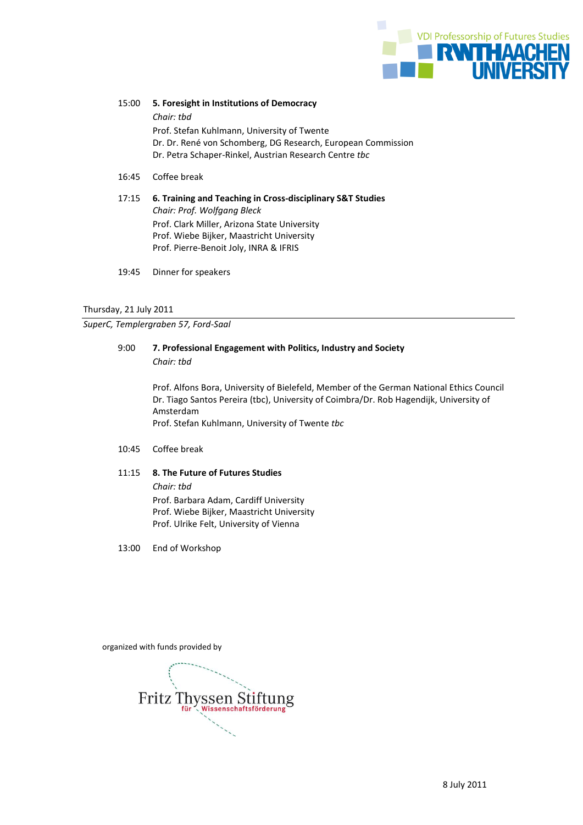

15:00 **5. Foresight in Institutions of Democracy** *Chair: tbd* Prof. Stefan Kuhlmann, University of Twente Dr. Dr. René von Schomberg, DG Research, European Commission Dr. Petra Schaper-Rinkel, Austrian Research Centre *tbc*

- 16:45 Coffee break
- 17:15 **6. Training and Teaching in Cross-disciplinary S&T Studies** *Chair: Prof. Wolfgang Bleck* Prof. Clark Miller, Arizona State University Prof. Wiebe Bijker, Maastricht University Prof. Pierre-Benoit Joly, INRA & IFRIS
- 19:45 Dinner for speakers

#### Thursday, 21 July 2011

*SuperC, Templergraben 57, Ford-Saal*

### 9:00 **7. Professional Engagement with Politics, Industry and Society** *Chair: tbd*

Prof. Alfons Bora, University of Bielefeld, Member of the German National Ethics Council Dr. Tiago Santos Pereira (tbc), University of Coimbra/Dr. Rob Hagendijk, University of Amsterdam Prof. Stefan Kuhlmann, University of Twente *tbc*

### 10:45 Coffee break

### 11:15 **8. The Future of Futures Studies**

*Chair: tbd* Prof. Barbara Adam, Cardiff University Prof. Wiebe Bijker, Maastricht University Prof. Ulrike Felt, University of Vienna

13:00 End of Workshop

organized with funds provided by